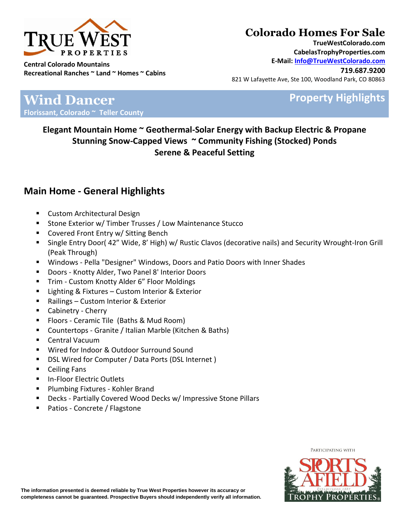

# **Colorado Homes For Sale**

**TrueWestColorado.com CabelasTrophyProperties.com E-Mail: Info@TrueWestColorado.com**

**719.687.9200** 821 W Lafayette Ave, Ste 100, Woodland Park, CO 80863

## **Property Highlights**

### **Wind Dancer Florissant, Colorado ~ Teller County**

**Elegant Mountain Home ~ Geothermal-Solar Energy with Backup Electric & Propane Stunning Snow-Capped Views ~ Community Fishing (Stocked) Ponds Serene & Peaceful Setting** 

#### **Main Home - General Highlights**

- Custom Architectural Design
- **Stone Exterior w/ Timber Trusses / Low Maintenance Stucco**
- **Covered Front Entry w/ Sitting Bench**
- Single Entry Door( 42" Wide, 8' High) w/ Rustic Clavos (decorative nails) and Security Wrought-Iron Grill (Peak Through)
- Windows Pella "Designer" Windows, Doors and Patio Doors with Inner Shades
- **Doors Knotty Alder, Two Panel 8' Interior Doors**
- Trim Custom Knotty Alder 6" Floor Moldings
- Lighting & Fixtures Custom Interior & Exterior
- Railings Custom Interior & Exterior
- **Cabinetry Cherry**
- **Filoors Ceramic Tile (Baths & Mud Room)**
- Countertops Granite / Italian Marble (Kitchen & Baths)
- Central Vacuum
- Wired for Indoor & Outdoor Surround Sound
- DSL Wired for Computer / Data Ports (DSL Internet )
- Ceiling Fans
- **In-Floor Electric Outlets**
- Plumbing Fixtures Kohler Brand
- Decks Partially Covered Wood Decks w/ Impressive Stone Pillars
- Patios Concrete / Flagstone

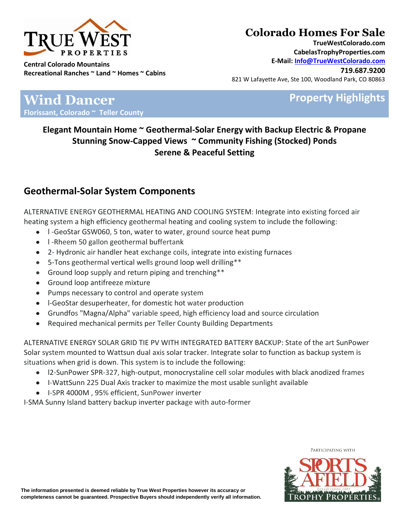

## **Colorado Homes For Sale**

**TrueWestColorado.com CabelasTrophyProperties.com E-Mail: Info@TrueWestColorado.com**

**719.687.9200** 821 W Lafayette Ave, Ste 100, Woodland Park, CO 80863

**Property Highlights** 

**Wind Dancer Florissant, Colorado ~ Teller County**

> **Elegant Mountain Home ~ Geothermal-Solar Energy with Backup Electric & Propane Stunning Snow-Capped Views ~ Community Fishing (Stocked) Ponds Serene & Peaceful Setting**

### **Geothermal-Solar System Components**

ALTERNATIVE ENERGY GEOTHERMAL HEATING AND COOLING SYSTEM: Integrate into existing forced air heating system a high efficiency geothermal heating and cooling system to include the following:

- I -GeoStar GSW060, 5 ton, water to water, ground source heat pump
- I -Rheem 50 gallon geothermal buffertank
- 2- Hydronic air handler heat exchange coils, integrate into existing furnaces
- 5-Tons geothermal vertical wells ground loop well drilling\*\*
- Ground loop supply and return piping and trenching\*\*
- Ground loop antifreeze mixture
- Pumps necessary to control and operate system
- l-GeoStar desuperheater, for domestic hot water production
- Grundfos "Magna/Alpha" variable speed, high efficiency load and source circulation
- Required mechanical permits per Teller County Building Departments

ALTERNATIVE ENERGY SOLAR GRID TIE PV WITH INTEGRATED BATTERY BACKUP: State of the art SunPower Solar system mounted to Wattsun dual axis solar tracker. Integrate solar to function as backup system is situations when grid is down. This system is to include the following:

- l2-SunPower SPR-327, high-output, monocrystaline cell solar modules with black anodized frames
- I-WattSunn 225 Dual Axis tracker to maximize the most usable sunlight available
- I-SPR 4000M , 95% efficient, SunPower inverter

I-SMA Sunny Island battery backup inverter package with auto-former



**The information presented is deemed reliable by True West Properties however its accuracy or completeness cannot be guaranteed. Prospective Buyers should independently verify all information.**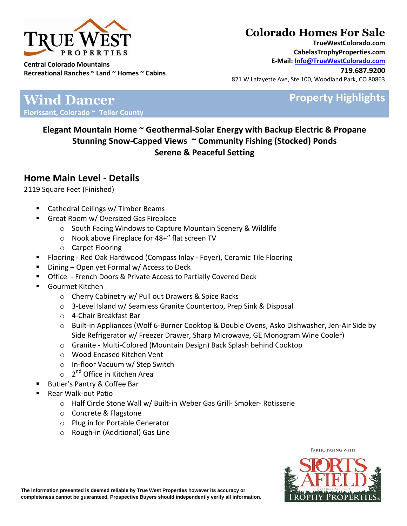

# **Colorado Homes For Sale**

**TrueWestColorado.com CabelasTrophyProperties.com E-Mail: Info@TrueWestColorado.com**

**719.687.9200** 821 W Lafayette Ave, Ste 100, Woodland Park, CO 80863

## **Property Highlights**

**Wind Dancer Florissant, Colorado ~ Teller County**

> **Elegant Mountain Home ~ Geothermal-Solar Energy with Backup Electric & Propane Stunning Snow-Capped Views ~ Community Fishing (Stocked) Ponds Serene & Peaceful Setting**

#### **Home Main Level - Details**

2119 Square Feet (Finished)

- Cathedral Ceilings w/ Timber Beams
- Great Room w/ Oversized Gas Fireplace
	- o South Facing Windows to Capture Mountain Scenery & Wildlife
	- o Nook above Fireplace for 48+" flat screen TV
	- o Carpet Flooring
- Flooring Red Oak Hardwood (Compass Inlay Foyer), Ceramic Tile Flooring
- Dining Open yet Formal w/ Access to Deck
- Office French Doors & Private Access to Partially Covered Deck
- Gourmet Kitchen
	- o Cherry Cabinetry w/ Pull out Drawers & Spice Racks
	- o 3-Level Island w/ Seamless Granite Countertop, Prep Sink & Disposal
	- o 4-Chair Breakfast Bar
	- o Built-in Appliances (Wolf 6-Burner Cooktop & Double Ovens, Asko Dishwasher, Jen-Air Side by Side Refrigerator w/ Freezer Drawer, Sharp Microwave, GE Monogram Wine Cooler)
	- o Granite Multi-Colored (Mountain Design) Back Splash behind Cooktop
	- o Wood Encased Kitchen Vent
	- o In-floor Vacuum w/ Step Switch
	- o 2<sup>nd</sup> Office in Kitchen Area
- Butler's Pantry & Coffee Bar
- Rear Walk-out Patio
	- o Half Circle Stone Wall w/ Built-in Weber Gas Grill- Smoker- Rotisserie
	- o Concrete & Flagstone
	- o Plug in for Portable Generator
	- o Rough-in (Additional) Gas Line

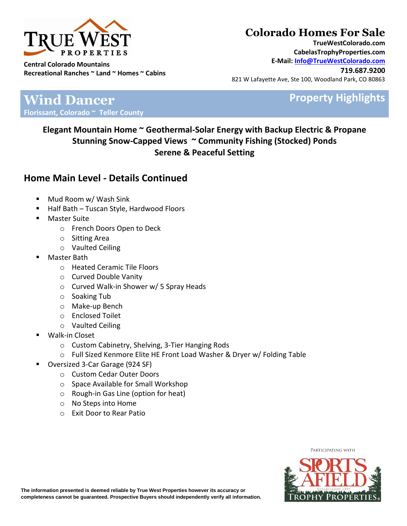

# **Colorado Homes For Sale**

**TrueWestColorado.com CabelasTrophyProperties.com E-Mail: Info@TrueWestColorado.com**

**719.687.9200** 821 W Lafayette Ave, Ste 100, Woodland Park, CO 80863

## **Property Highlights**

**Wind Dancer Florissant, Colorado ~ Teller County**

> **Elegant Mountain Home ~ Geothermal-Solar Energy with Backup Electric & Propane Stunning Snow-Capped Views ~ Community Fishing (Stocked) Ponds Serene & Peaceful Setting**

#### **Home Main Level - Details Continued**

- Mud Room w/ Wash Sink
- Half Bath Tuscan Style, Hardwood Floors
- Master Suite
	- o French Doors Open to Deck
	- o Sitting Area
		- o Vaulted Ceiling
- Master Bath
	- o Heated Ceramic Tile Floors
	- o Curved Double Vanity
	- o Curved Walk-in Shower w/ 5 Spray Heads
	- o Soaking Tub
	- o Make-up Bench
	- o Enclosed Toilet
	- o Vaulted Ceiling
- Walk-in Closet
	- o Custom Cabinetry, Shelving, 3-Tier Hanging Rods
	- o Full Sized Kenmore Elite HE Front Load Washer & Dryer w/ Folding Table
- Oversized 3-Car Garage (924 SF)
	- o Custom Cedar Outer Doors
	- o Space Available for Small Workshop
	- o Rough-in Gas Line (option for heat)
	- o No Steps into Home
	- o Exit Door to Rear Patio

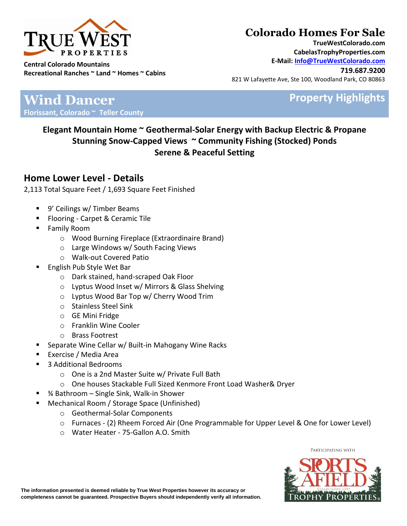

# **Colorado Homes For Sale**

**TrueWestColorado.com CabelasTrophyProperties.com E-Mail: Info@TrueWestColorado.com**

**719.687.9200** 821 W Lafayette Ave, Ste 100, Woodland Park, CO 80863

## **Property Highlights**

**Wind Dancer Florissant, Colorado ~ Teller County**

> **Elegant Mountain Home ~ Geothermal-Solar Energy with Backup Electric & Propane Stunning Snow-Capped Views ~ Community Fishing (Stocked) Ponds Serene & Peaceful Setting**

#### **Home Lower Level - Details**

2,113 Total Square Feet / 1,693 Square Feet Finished

- 9' Ceilings w/ Timber Beams
- Flooring Carpet & Ceramic Tile
- Family Room
	- o Wood Burning Fireplace (Extraordinaire Brand)
	- o Large Windows w/ South Facing Views
	- o Walk-out Covered Patio
- English Pub Style Wet Bar
	- o Dark stained, hand-scraped Oak Floor
	- o Lyptus Wood Inset w/ Mirrors & Glass Shelving
	- o Lyptus Wood Bar Top w/ Cherry Wood Trim
	- o Stainless Steel Sink
	- o GE Mini Fridge
	- o Franklin Wine Cooler
	- o Brass Footrest
- Separate Wine Cellar w/ Built-in Mahogany Wine Racks
- Exercise / Media Area
- 3 Additional Bedrooms
	- o One is a 2nd Master Suite w/ Private Full Bath
	- o One houses Stackable Full Sized Kenmore Front Load Washer& Dryer
- ¾ Bathroom Single Sink, Walk-in Shower
- Mechanical Room / Storage Space (Unfinished)
	- o Geothermal-Solar Components
	- o Furnaces (2) Rheem Forced Air (One Programmable for Upper Level & One for Lower Level)
	- o Water Heater 75-Gallon A.O. Smith